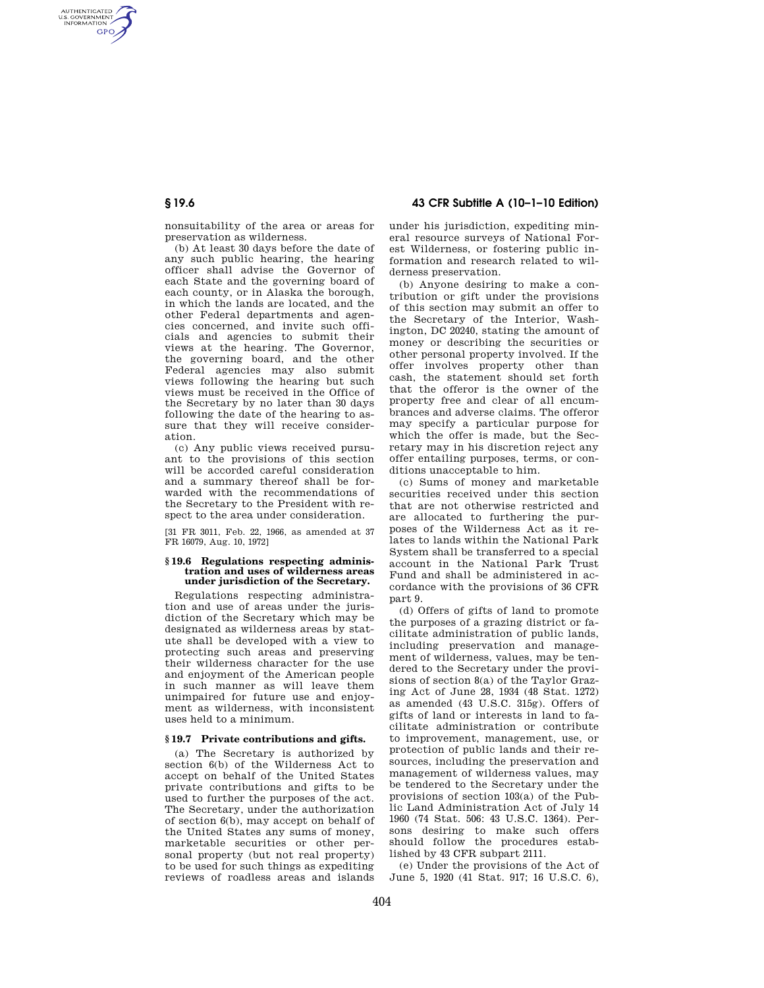# **§ 19.6 43 CFR Subtitle A (10–1–10 Edition)**

nonsuitability of the area or areas for preservation as wilderness.

(b) At least 30 days before the date of any such public hearing, the hearing officer shall advise the Governor of each State and the governing board of each county, or in Alaska the borough, in which the lands are located, and the other Federal departments and agencies concerned, and invite such officials and agencies to submit their views at the hearing. The Governor, the governing board, and the other Federal agencies may also submit views following the hearing but such views must be received in the Office of the Secretary by no later than 30 days following the date of the hearing to assure that they will receive consideration.

(c) Any public views received pursuant to the provisions of this section will be accorded careful consideration and a summary thereof shall be forwarded with the recommendations of the Secretary to the President with respect to the area under consideration.

[31 FR 3011, Feb. 22, 1966, as amended at 37 FR 16079, Aug. 10, 1972]

### **§ 19.6 Regulations respecting administration and uses of wilderness areas under jurisdiction of the Secretary.**

Regulations respecting administration and use of areas under the jurisdiction of the Secretary which may be designated as wilderness areas by statute shall be developed with a view to protecting such areas and preserving their wilderness character for the use and enjoyment of the American people in such manner as will leave them unimpaired for future use and enjoyment as wilderness, with inconsistent uses held to a minimum.

## **§ 19.7 Private contributions and gifts.**

(a) The Secretary is authorized by section 6(b) of the Wilderness Act to accept on behalf of the United States private contributions and gifts to be used to further the purposes of the act. The Secretary, under the authorization of section 6(b), may accept on behalf of the United States any sums of money, marketable securities or other personal property (but not real property) to be used for such things as expediting reviews of roadless areas and islands

under his jurisdiction, expediting mineral resource surveys of National Forest Wilderness, or fostering public information and research related to wilderness preservation.

(b) Anyone desiring to make a contribution or gift under the provisions of this section may submit an offer to the Secretary of the Interior, Washington, DC 20240, stating the amount of money or describing the securities or other personal property involved. If the offer involves property other than cash, the statement should set forth that the offeror is the owner of the property free and clear of all encumbrances and adverse claims. The offeror may specify a particular purpose for which the offer is made, but the Secretary may in his discretion reject any offer entailing purposes, terms, or conditions unacceptable to him.

(c) Sums of money and marketable securities received under this section that are not otherwise restricted and are allocated to furthering the purposes of the Wilderness Act as it relates to lands within the National Park System shall be transferred to a special account in the National Park Trust Fund and shall be administered in accordance with the provisions of 36 CFR part 9.

(d) Offers of gifts of land to promote the purposes of a grazing district or facilitate administration of public lands, including preservation and management of wilderness, values, may be tendered to the Secretary under the provisions of section 8(a) of the Taylor Grazing Act of June 28, 1934 (48 Stat. 1272) as amended (43 U.S.C. 315g). Offers of gifts of land or interests in land to facilitate administration or contribute to improvement, management, use, or protection of public lands and their resources, including the preservation and management of wilderness values, may be tendered to the Secretary under the provisions of section 103(a) of the Public Land Administration Act of July 14 1960 (74 Stat. 506: 43 U.S.C. 1364). Persons desiring to make such offers should follow the procedures established by 43 CFR subpart 2111.

(e) Under the provisions of the Act of June 5, 1920 (41 Stat. 917; 16 U.S.C. 6),

AUTHENTICATED<br>U.S. GOVERNMENT<br>INFORMATION **GPO**